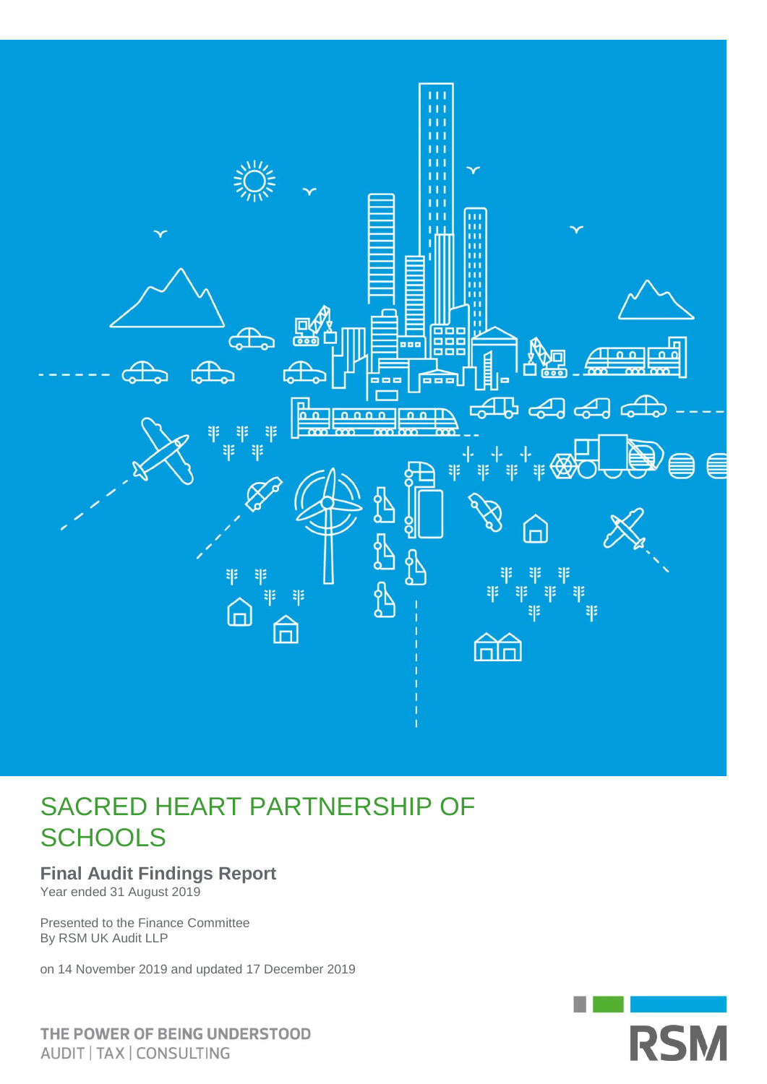

### SACRED HEART PARTNERSHIP OF **SCHOOLS**

#### **Final Audit Findings Report**

Year ended 31 August 2019

Presented to the Finance Committee By RSM UK Audit LLP

on 14 November 2019 and updated 17 December 2019



THE POWER OF BEING UNDERSTOOD AUDIT | TAX | CONSULTING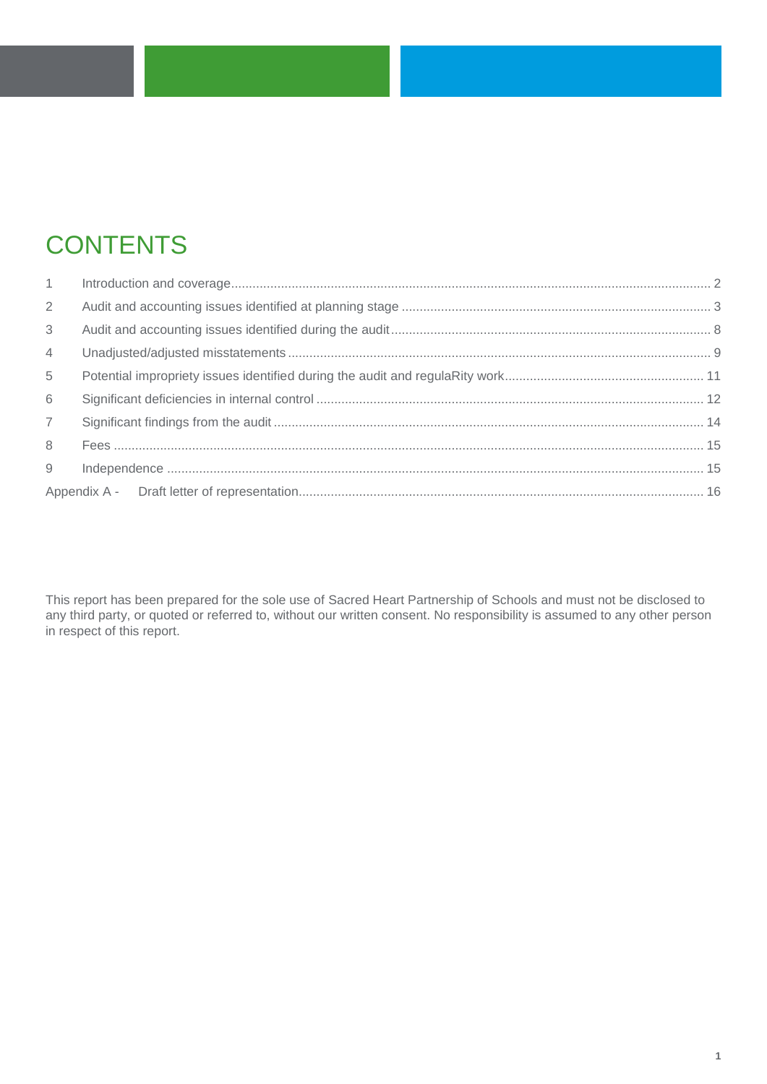# **CONTENTS**

| 1              |  |
|----------------|--|
| $\overline{2}$ |  |
| 3              |  |
| $\overline{4}$ |  |
| 5              |  |
| 6              |  |
| $\overline{7}$ |  |
| 8              |  |
| 9              |  |
|                |  |

This report has been prepared for the sole use of Sacred Heart Partnership of Schools and must not be disclosed to any third party, or quoted or referred to, without our written consent. No responsibility is assumed to any other person in respect of this report.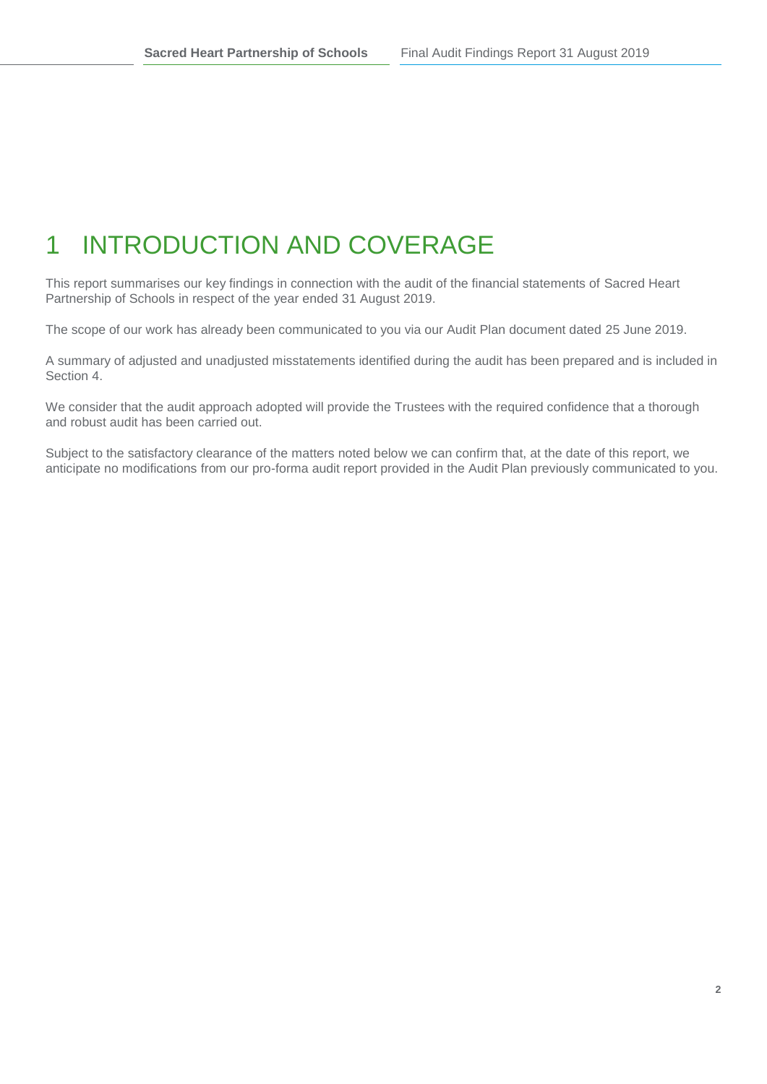# <span id="page-2-0"></span>1 INTRODUCTION AND COVERAGE

This report summarises our key findings in connection with the audit of the financial statements of Sacred Heart Partnership of Schools in respect of the year ended 31 August 2019.

The scope of our work has already been communicated to you via our Audit Plan document dated 25 June 2019.

A summary of adjusted and unadjusted misstatements identified during the audit has been prepared and is included in Section 4.

We consider that the audit approach adopted will provide the Trustees with the required confidence that a thorough and robust audit has been carried out.

Subject to the satisfactory clearance of the matters noted below we can confirm that, at the date of this report, we anticipate no modifications from our pro-forma audit report provided in the Audit Plan previously communicated to you.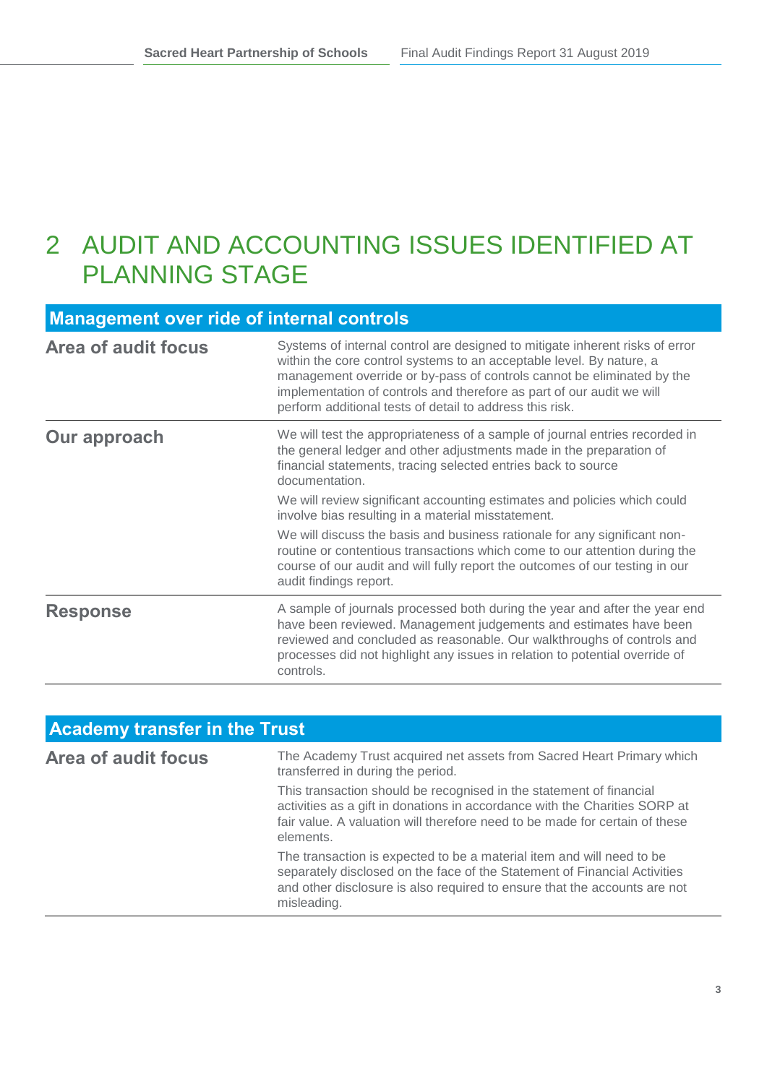### <span id="page-3-0"></span>2 AUDIT AND ACCOUNTING ISSUES IDENTIFIED AT PLANNING STAGE

| <b>Management over ride of internal controls</b> |                                                                                                                                                                                                                                                                                                                                                                     |  |
|--------------------------------------------------|---------------------------------------------------------------------------------------------------------------------------------------------------------------------------------------------------------------------------------------------------------------------------------------------------------------------------------------------------------------------|--|
| <b>Area of audit focus</b>                       | Systems of internal control are designed to mitigate inherent risks of error<br>within the core control systems to an acceptable level. By nature, a<br>management override or by-pass of controls cannot be eliminated by the<br>implementation of controls and therefore as part of our audit we will<br>perform additional tests of detail to address this risk. |  |
| Our approach                                     | We will test the appropriateness of a sample of journal entries recorded in<br>the general ledger and other adjustments made in the preparation of<br>financial statements, tracing selected entries back to source<br>documentation.                                                                                                                               |  |
|                                                  | We will review significant accounting estimates and policies which could<br>involve bias resulting in a material misstatement.                                                                                                                                                                                                                                      |  |
|                                                  | We will discuss the basis and business rationale for any significant non-<br>routine or contentious transactions which come to our attention during the<br>course of our audit and will fully report the outcomes of our testing in our<br>audit findings report.                                                                                                   |  |
| <b>Response</b>                                  | A sample of journals processed both during the year and after the year end<br>have been reviewed. Management judgements and estimates have been<br>reviewed and concluded as reasonable. Our walkthroughs of controls and<br>processes did not highlight any issues in relation to potential override of<br>controls.                                               |  |

| <b>Academy transfer in the Trust</b> |                                                                                                                                                                                                                                                |  |
|--------------------------------------|------------------------------------------------------------------------------------------------------------------------------------------------------------------------------------------------------------------------------------------------|--|
| <b>Area of audit focus</b>           | The Academy Trust acquired net assets from Sacred Heart Primary which<br>transferred in during the period.                                                                                                                                     |  |
|                                      | This transaction should be recognised in the statement of financial<br>activities as a gift in donations in accordance with the Charities SORP at<br>fair value. A valuation will therefore need to be made for certain of these<br>elements.  |  |
|                                      | The transaction is expected to be a material item and will need to be<br>separately disclosed on the face of the Statement of Financial Activities<br>and other disclosure is also required to ensure that the accounts are not<br>misleading. |  |
|                                      |                                                                                                                                                                                                                                                |  |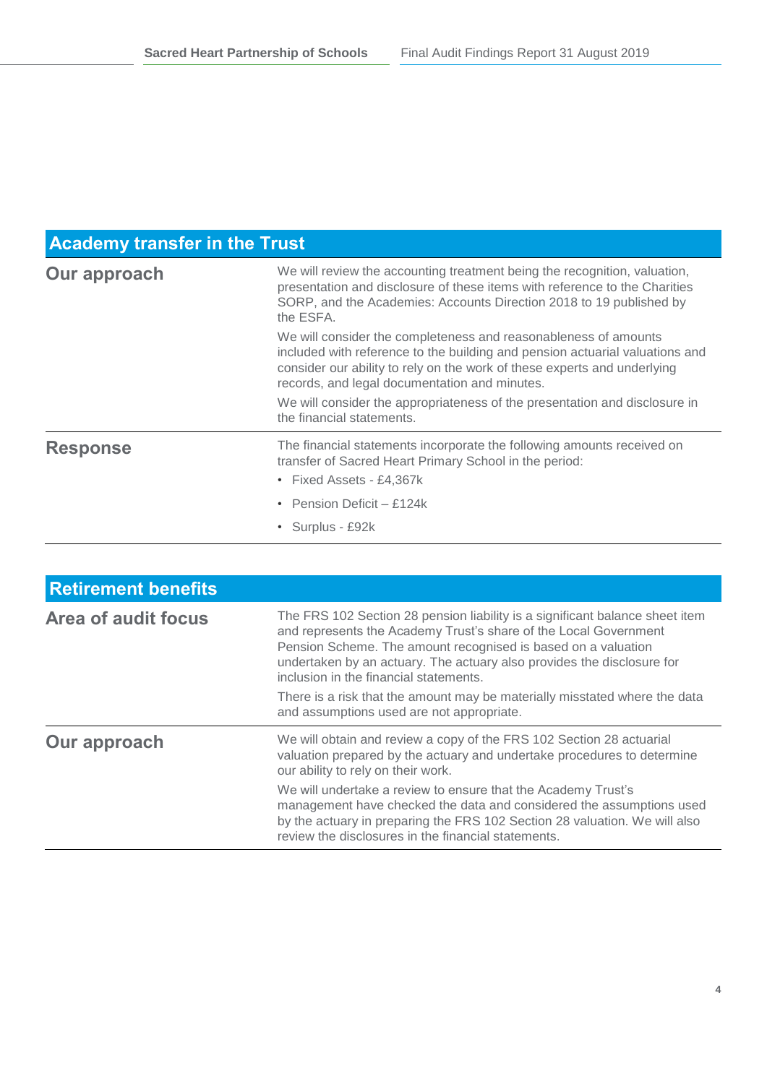### **Academy transfer in the Trust**

| Our approach    | We will review the accounting treatment being the recognition, valuation,<br>presentation and disclosure of these items with reference to the Charities<br>SORP, and the Academies: Accounts Direction 2018 to 19 published by<br>the ESFA.                                  |  |
|-----------------|------------------------------------------------------------------------------------------------------------------------------------------------------------------------------------------------------------------------------------------------------------------------------|--|
|                 | We will consider the completeness and reasonableness of amounts<br>included with reference to the building and pension actuarial valuations and<br>consider our ability to rely on the work of these experts and underlying<br>records, and legal documentation and minutes. |  |
|                 | We will consider the appropriateness of the presentation and disclosure in<br>the financial statements.                                                                                                                                                                      |  |
| <b>Response</b> | The financial statements incorporate the following amounts received on<br>transfer of Sacred Heart Primary School in the period:<br>• Fixed Assets - £4,367k                                                                                                                 |  |
|                 | • Pension Deficit – £124k                                                                                                                                                                                                                                                    |  |
|                 | • Surplus - £92k                                                                                                                                                                                                                                                             |  |

| <b>Retirement benefits</b> |                                                                                                                                                                                                                                                                                                                                                                                                                                                                     |
|----------------------------|---------------------------------------------------------------------------------------------------------------------------------------------------------------------------------------------------------------------------------------------------------------------------------------------------------------------------------------------------------------------------------------------------------------------------------------------------------------------|
| <b>Area of audit focus</b> | The FRS 102 Section 28 pension liability is a significant balance sheet item<br>and represents the Academy Trust's share of the Local Government<br>Pension Scheme. The amount recognised is based on a valuation<br>undertaken by an actuary. The actuary also provides the disclosure for<br>inclusion in the financial statements.                                                                                                                               |
|                            | There is a risk that the amount may be materially misstated where the data<br>and assumptions used are not appropriate.                                                                                                                                                                                                                                                                                                                                             |
| Our approach               | We will obtain and review a copy of the FRS 102 Section 28 actuarial<br>valuation prepared by the actuary and undertake procedures to determine<br>our ability to rely on their work.<br>We will undertake a review to ensure that the Academy Trust's<br>management have checked the data and considered the assumptions used<br>by the actuary in preparing the FRS 102 Section 28 valuation. We will also<br>review the disclosures in the financial statements. |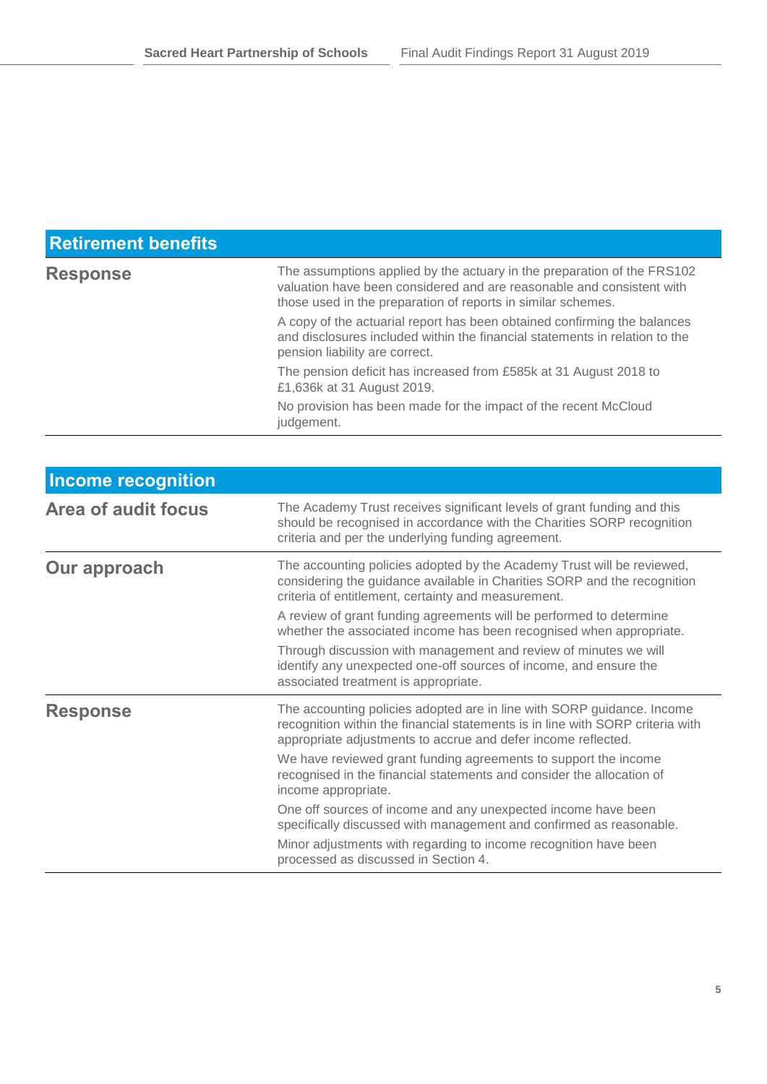### **Retirement benefits**

| <b>Response</b> | The assumptions applied by the actuary in the preparation of the FRS102<br>valuation have been considered and are reasonable and consistent with<br>those used in the preparation of reports in similar schemes. |
|-----------------|------------------------------------------------------------------------------------------------------------------------------------------------------------------------------------------------------------------|
|                 | A copy of the actuarial report has been obtained confirming the balances<br>and disclosures included within the financial statements in relation to the<br>pension liability are correct.                        |
|                 | The pension deficit has increased from £585k at 31 August 2018 to<br>£1,636k at 31 August 2019.                                                                                                                  |
|                 | No provision has been made for the impact of the recent McCloud<br>judgement.                                                                                                                                    |

| <b>Income recognition</b>  |                                                                                                                                                                                                                           |
|----------------------------|---------------------------------------------------------------------------------------------------------------------------------------------------------------------------------------------------------------------------|
| <b>Area of audit focus</b> | The Academy Trust receives significant levels of grant funding and this<br>should be recognised in accordance with the Charities SORP recognition<br>criteria and per the underlying funding agreement.                   |
| Our approach               | The accounting policies adopted by the Academy Trust will be reviewed,<br>considering the guidance available in Charities SORP and the recognition<br>criteria of entitlement, certainty and measurement.                 |
|                            | A review of grant funding agreements will be performed to determine<br>whether the associated income has been recognised when appropriate.                                                                                |
|                            | Through discussion with management and review of minutes we will<br>identify any unexpected one-off sources of income, and ensure the<br>associated treatment is appropriate.                                             |
| <b>Response</b>            | The accounting policies adopted are in line with SORP guidance. Income<br>recognition within the financial statements is in line with SORP criteria with<br>appropriate adjustments to accrue and defer income reflected. |
|                            | We have reviewed grant funding agreements to support the income<br>recognised in the financial statements and consider the allocation of<br>income appropriate.                                                           |
|                            | One off sources of income and any unexpected income have been<br>specifically discussed with management and confirmed as reasonable.                                                                                      |
|                            | Minor adjustments with regarding to income recognition have been<br>processed as discussed in Section 4.                                                                                                                  |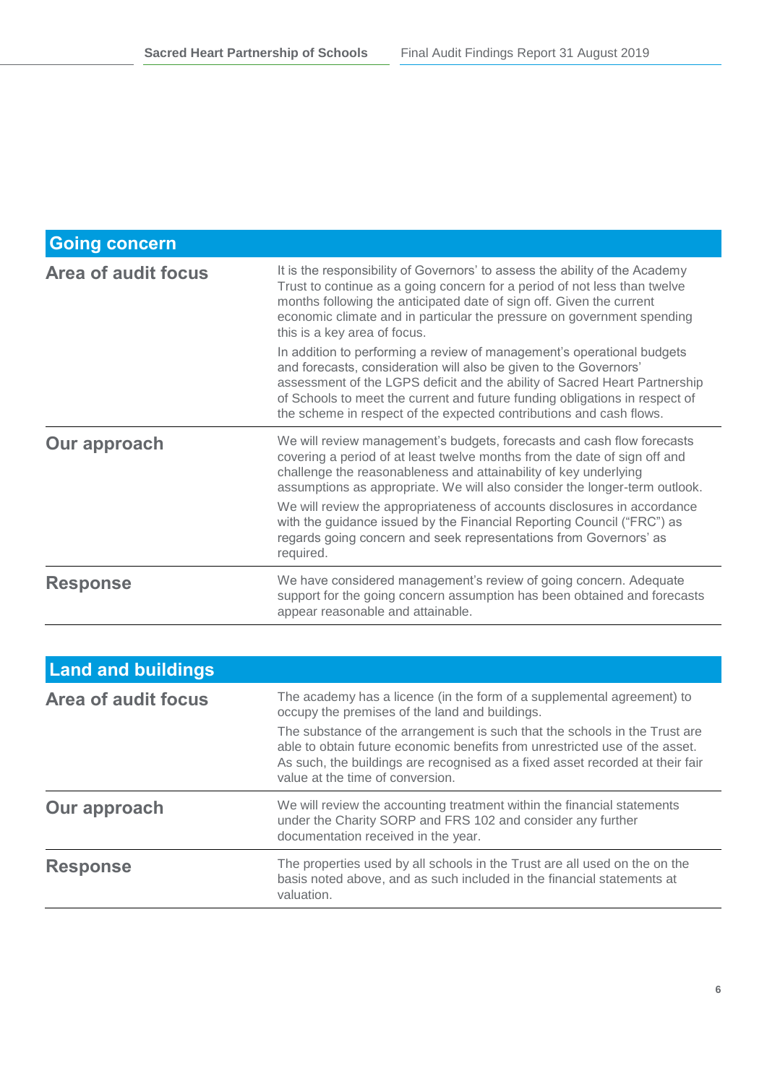| <b>Going concern</b>       |                                                                                                                                                                                                                                                                                                                                                                                 |
|----------------------------|---------------------------------------------------------------------------------------------------------------------------------------------------------------------------------------------------------------------------------------------------------------------------------------------------------------------------------------------------------------------------------|
| <b>Area of audit focus</b> | It is the responsibility of Governors' to assess the ability of the Academy<br>Trust to continue as a going concern for a period of not less than twelve<br>months following the anticipated date of sign off. Given the current<br>economic climate and in particular the pressure on government spending<br>this is a key area of focus.                                      |
|                            | In addition to performing a review of management's operational budgets<br>and forecasts, consideration will also be given to the Governors'<br>assessment of the LGPS deficit and the ability of Sacred Heart Partnership<br>of Schools to meet the current and future funding obligations in respect of<br>the scheme in respect of the expected contributions and cash flows. |
| Our approach               | We will review management's budgets, forecasts and cash flow forecasts<br>covering a period of at least twelve months from the date of sign off and<br>challenge the reasonableness and attainability of key underlying<br>assumptions as appropriate. We will also consider the longer-term outlook.                                                                           |
|                            | We will review the appropriateness of accounts disclosures in accordance<br>with the guidance issued by the Financial Reporting Council ("FRC") as<br>regards going concern and seek representations from Governors' as<br>required.                                                                                                                                            |
| <b>Response</b>            | We have considered management's review of going concern. Adequate<br>support for the going concern assumption has been obtained and forecasts<br>appear reasonable and attainable.                                                                                                                                                                                              |
|                            |                                                                                                                                                                                                                                                                                                                                                                                 |

| <b>Land and buildings</b>  |                                                                                                                                                                                                                                                                                                                                                                                                            |
|----------------------------|------------------------------------------------------------------------------------------------------------------------------------------------------------------------------------------------------------------------------------------------------------------------------------------------------------------------------------------------------------------------------------------------------------|
| <b>Area of audit focus</b> | The academy has a licence (in the form of a supplemental agreement) to<br>occupy the premises of the land and buildings.<br>The substance of the arrangement is such that the schools in the Trust are<br>able to obtain future economic benefits from unrestricted use of the asset.<br>As such, the buildings are recognised as a fixed asset recorded at their fair<br>value at the time of conversion. |
| Our approach               | We will review the accounting treatment within the financial statements<br>under the Charity SORP and FRS 102 and consider any further<br>documentation received in the year.                                                                                                                                                                                                                              |
| <b>Response</b>            | The properties used by all schools in the Trust are all used on the on the<br>basis noted above, and as such included in the financial statements at<br>valuation.                                                                                                                                                                                                                                         |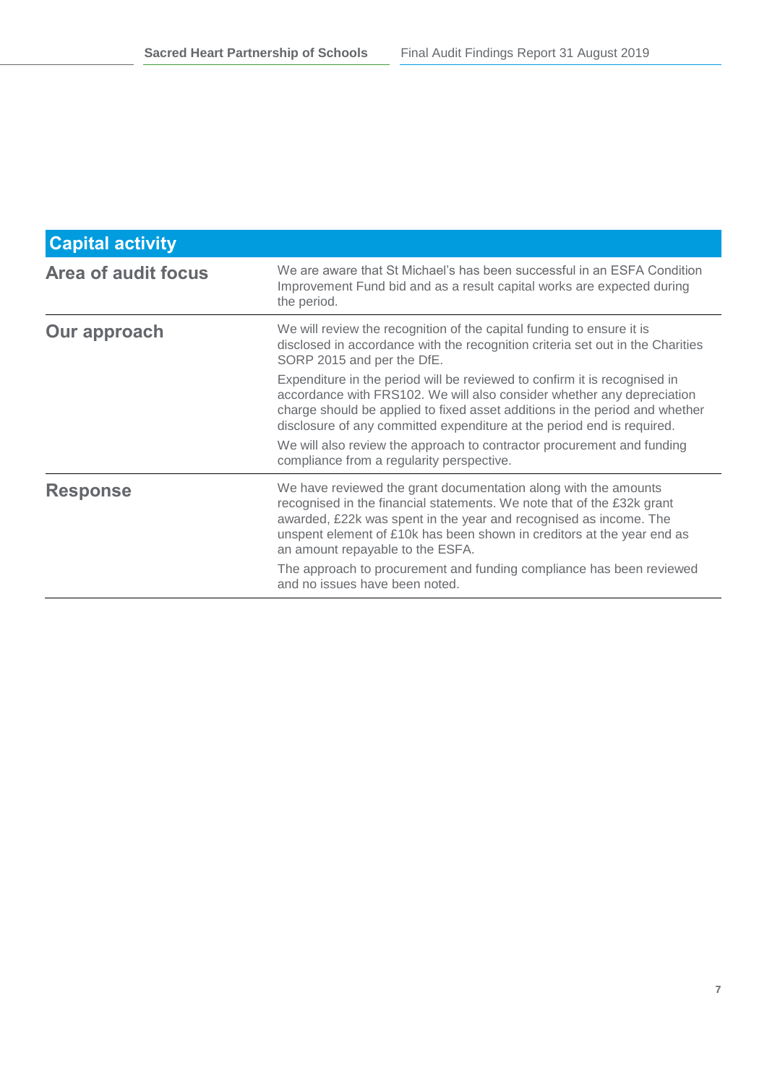| <b>Capital activity</b>    |                                                                                                                                                                                                                                                                                                                              |
|----------------------------|------------------------------------------------------------------------------------------------------------------------------------------------------------------------------------------------------------------------------------------------------------------------------------------------------------------------------|
| <b>Area of audit focus</b> | We are aware that St Michael's has been successful in an ESFA Condition<br>Improvement Fund bid and as a result capital works are expected during<br>the period.                                                                                                                                                             |
| Our approach               | We will review the recognition of the capital funding to ensure it is<br>disclosed in accordance with the recognition criteria set out in the Charities<br>SORP 2015 and per the DfE.                                                                                                                                        |
|                            | Expenditure in the period will be reviewed to confirm it is recognised in<br>accordance with FRS102. We will also consider whether any depreciation<br>charge should be applied to fixed asset additions in the period and whether<br>disclosure of any committed expenditure at the period end is required.                 |
|                            | We will also review the approach to contractor procurement and funding<br>compliance from a regularity perspective.                                                                                                                                                                                                          |
| <b>Response</b>            | We have reviewed the grant documentation along with the amounts<br>recognised in the financial statements. We note that of the £32k grant<br>awarded, £22k was spent in the year and recognised as income. The<br>unspent element of £10k has been shown in creditors at the year end as<br>an amount repayable to the ESFA. |
|                            | The approach to procurement and funding compliance has been reviewed<br>and no issues have been noted.                                                                                                                                                                                                                       |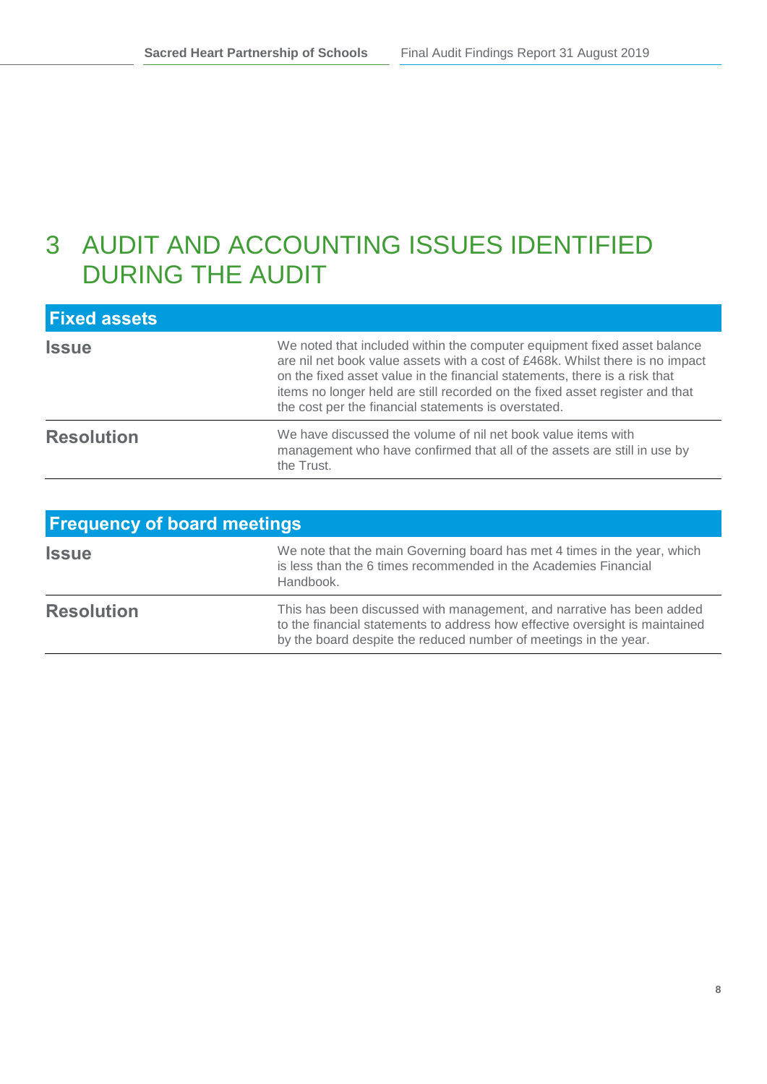## <span id="page-8-0"></span>3 AUDIT AND ACCOUNTING ISSUES IDENTIFIED DURING THE AUDIT

| <b>Fixed assets</b> |                                                                                                                                                                                                                                                                                                                                                                                 |
|---------------------|---------------------------------------------------------------------------------------------------------------------------------------------------------------------------------------------------------------------------------------------------------------------------------------------------------------------------------------------------------------------------------|
| <b>Issue</b>        | We noted that included within the computer equipment fixed asset balance<br>are nil net book value assets with a cost of £468k. Whilst there is no impact<br>on the fixed asset value in the financial statements, there is a risk that<br>items no longer held are still recorded on the fixed asset register and that<br>the cost per the financial statements is overstated. |
| <b>Resolution</b>   | We have discussed the volume of nil net book value items with<br>management who have confirmed that all of the assets are still in use by<br>the Trust.                                                                                                                                                                                                                         |

| <b>Frequency of board meetings</b> |                                                                                                                                                                                                                           |  |
|------------------------------------|---------------------------------------------------------------------------------------------------------------------------------------------------------------------------------------------------------------------------|--|
| <b>Issue</b>                       | We note that the main Governing board has met 4 times in the year, which<br>is less than the 6 times recommended in the Academies Financial<br>Handbook.                                                                  |  |
| <b>Resolution</b>                  | This has been discussed with management, and narrative has been added<br>to the financial statements to address how effective oversight is maintained<br>by the board despite the reduced number of meetings in the year. |  |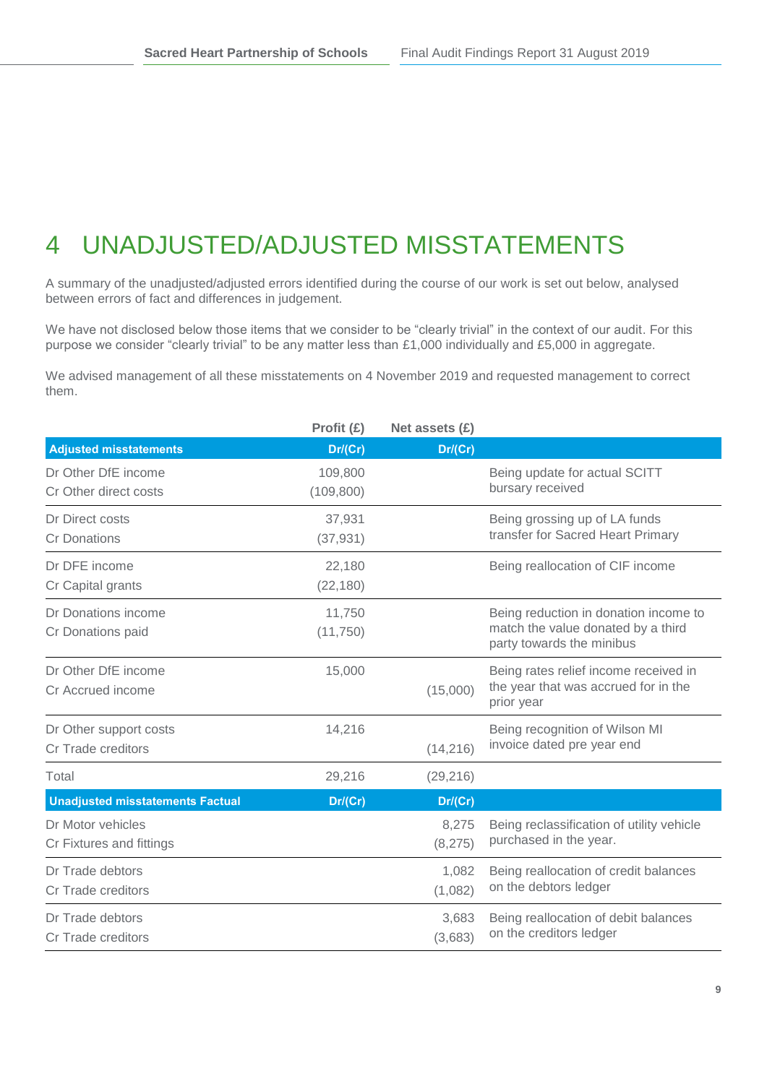## <span id="page-9-0"></span>4 UNADJUSTED/ADJUSTED MISSTATEMENTS

A summary of the unadjusted/adjusted errors identified during the course of our work is set out below, analysed between errors of fact and differences in judgement.

We have not disclosed below those items that we consider to be "clearly trivial" in the context of our audit. For this purpose we consider "clearly trivial" to be any matter less than £1,000 individually and £5,000 in aggregate.

We advised management of all these misstatements on 4 November 2019 and requested management to correct them.

|                                               | Profit (£)            | Net assets $(E)$  |                                                                                                          |
|-----------------------------------------------|-----------------------|-------------------|----------------------------------------------------------------------------------------------------------|
| <b>Adjusted misstatements</b>                 | Dr/(Cr)               | Dr/(Cr)           |                                                                                                          |
| Dr Other DfE income<br>Cr Other direct costs  | 109,800<br>(109, 800) |                   | Being update for actual SCITT<br>bursary received                                                        |
| Dr Direct costs<br><b>Cr Donations</b>        | 37,931<br>(37, 931)   |                   | Being grossing up of LA funds<br>transfer for Sacred Heart Primary                                       |
| Dr DFE income<br>Cr Capital grants            | 22,180<br>(22, 180)   |                   | Being reallocation of CIF income                                                                         |
| Dr Donations income<br>Cr Donations paid      | 11,750<br>(11,750)    |                   | Being reduction in donation income to<br>match the value donated by a third<br>party towards the minibus |
| Dr Other DfE income<br>Cr Accrued income      | 15,000                | (15,000)          | Being rates relief income received in<br>the year that was accrued for in the<br>prior year              |
| Dr Other support costs<br>Cr Trade creditors  | 14,216                | (14, 216)         | Being recognition of Wilson MI<br>invoice dated pre year end                                             |
| Total                                         | 29,216                | (29, 216)         |                                                                                                          |
| <b>Unadjusted misstatements Factual</b>       | Dr/(Cr)               | Dr/(Cr)           |                                                                                                          |
| Dr Motor vehicles<br>Cr Fixtures and fittings |                       | 8,275<br>(8, 275) | Being reclassification of utility vehicle<br>purchased in the year.                                      |
| Dr Trade debtors<br>Cr Trade creditors        |                       | 1,082<br>(1,082)  | Being reallocation of credit balances<br>on the debtors ledger                                           |
| Dr Trade debtors<br>Cr Trade creditors        |                       | 3,683<br>(3,683)  | Being reallocation of debit balances<br>on the creditors ledger                                          |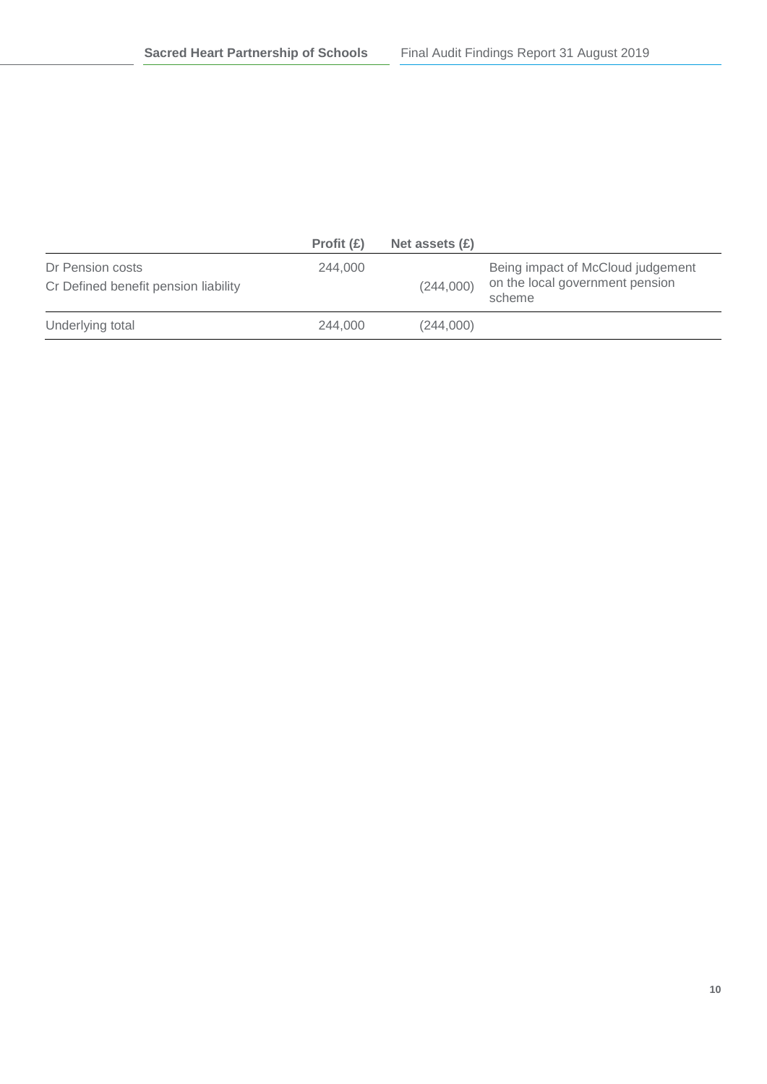|                                                          | Profit $(E)$ | Net assets $(E)$ |                                                                                |
|----------------------------------------------------------|--------------|------------------|--------------------------------------------------------------------------------|
| Dr Pension costs<br>Cr Defined benefit pension liability | 244.000      | (244,000)        | Being impact of McCloud judgement<br>on the local government pension<br>scheme |
| Underlying total                                         | 244.000      | (244,000)        |                                                                                |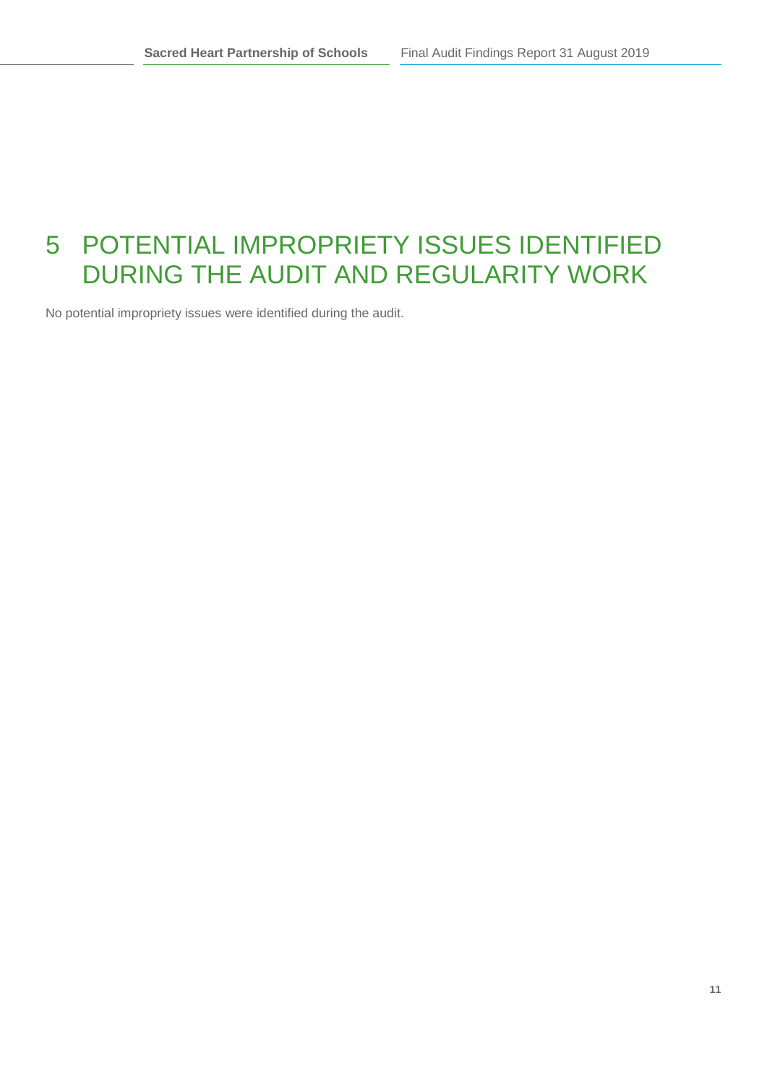### <span id="page-11-0"></span>5 POTENTIAL IMPROPRIETY ISSUES IDENTIFIED DURING THE AUDIT AND REGULARITY WORK

No potential impropriety issues were identified during the audit.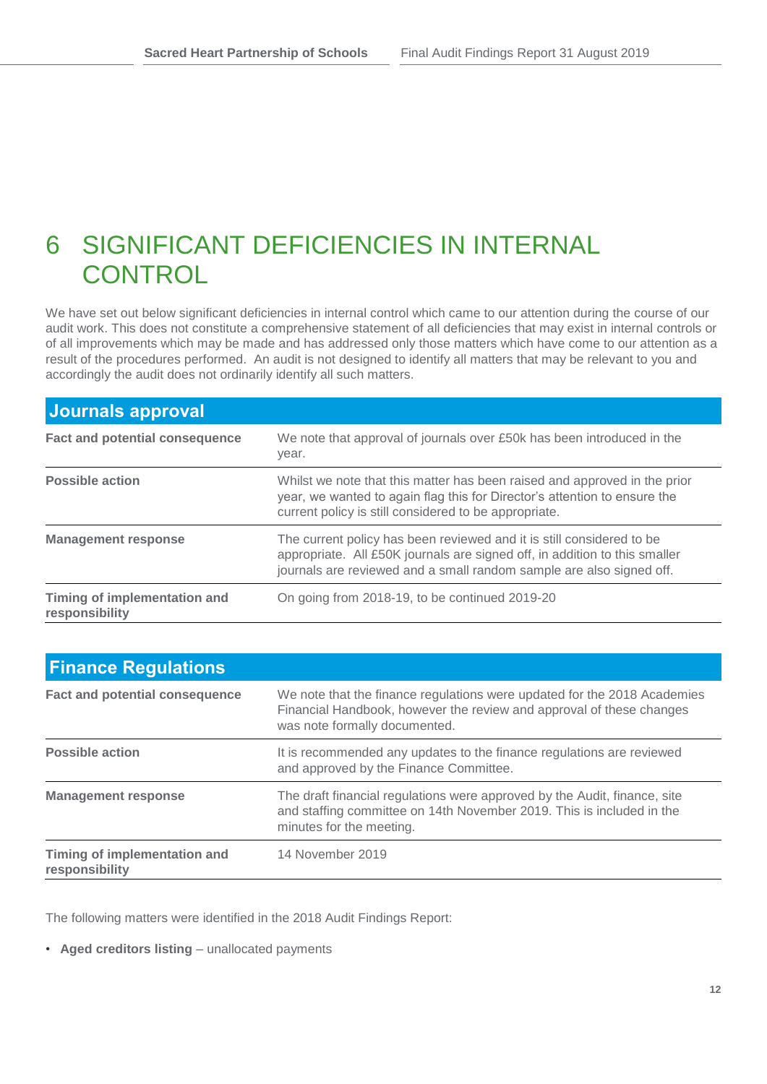## <span id="page-12-0"></span>6 SIGNIFICANT DEFICIENCIES IN INTERNAL **CONTROL**

We have set out below significant deficiencies in internal control which came to our attention during the course of our audit work. This does not constitute a comprehensive statement of all deficiencies that may exist in internal controls or of all improvements which may be made and has addressed only those matters which have come to our attention as a result of the procedures performed. An audit is not designed to identify all matters that may be relevant to you and accordingly the audit does not ordinarily identify all such matters.

| Journals approval                              |                                                                                                                                                                                                                             |
|------------------------------------------------|-----------------------------------------------------------------------------------------------------------------------------------------------------------------------------------------------------------------------------|
| <b>Fact and potential consequence</b>          | We note that approval of journals over £50k has been introduced in the<br>year.                                                                                                                                             |
| <b>Possible action</b>                         | Whilst we note that this matter has been raised and approved in the prior<br>year, we wanted to again flag this for Director's attention to ensure the<br>current policy is still considered to be appropriate.             |
| <b>Management response</b>                     | The current policy has been reviewed and it is still considered to be<br>appropriate. All £50K journals are signed off, in addition to this smaller<br>journals are reviewed and a small random sample are also signed off. |
| Timing of implementation and<br>responsibility | On going from 2018-19, to be continued 2019-20                                                                                                                                                                              |

| <b>Finance Regulations</b>                     |                                                                                                                                                                                   |
|------------------------------------------------|-----------------------------------------------------------------------------------------------------------------------------------------------------------------------------------|
| Fact and potential consequence                 | We note that the finance regulations were updated for the 2018 Academies<br>Financial Handbook, however the review and approval of these changes<br>was note formally documented. |
| <b>Possible action</b>                         | It is recommended any updates to the finance regulations are reviewed<br>and approved by the Finance Committee.                                                                   |
| <b>Management response</b>                     | The draft financial regulations were approved by the Audit, finance, site<br>and staffing committee on 14th November 2019. This is included in the<br>minutes for the meeting.    |
| Timing of implementation and<br>responsibility | 14 November 2019                                                                                                                                                                  |

The following matters were identified in the 2018 Audit Findings Report:

• **Aged creditors listing** – unallocated payments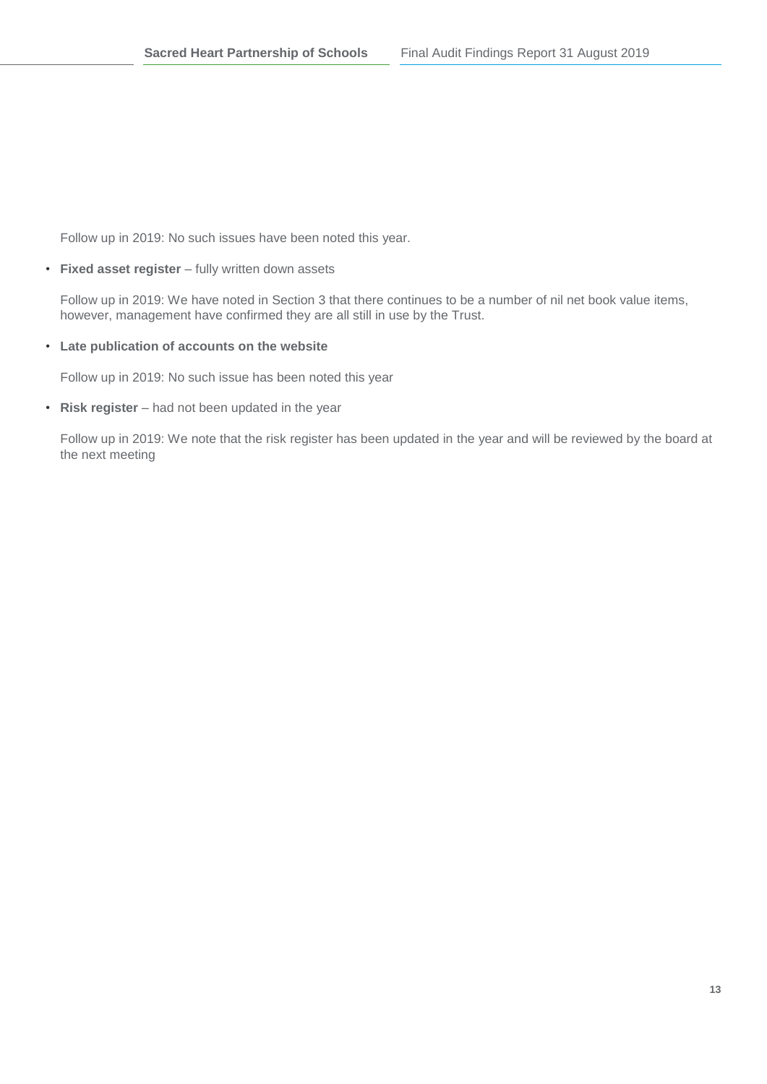Follow up in 2019: No such issues have been noted this year.

• **Fixed asset register** – fully written down assets

Follow up in 2019: We have noted in Section 3 that there continues to be a number of nil net book value items, however, management have confirmed they are all still in use by the Trust.

• **Late publication of accounts on the website**

Follow up in 2019: No such issue has been noted this year

• **Risk register** – had not been updated in the year

Follow up in 2019: We note that the risk register has been updated in the year and will be reviewed by the board at the next meeting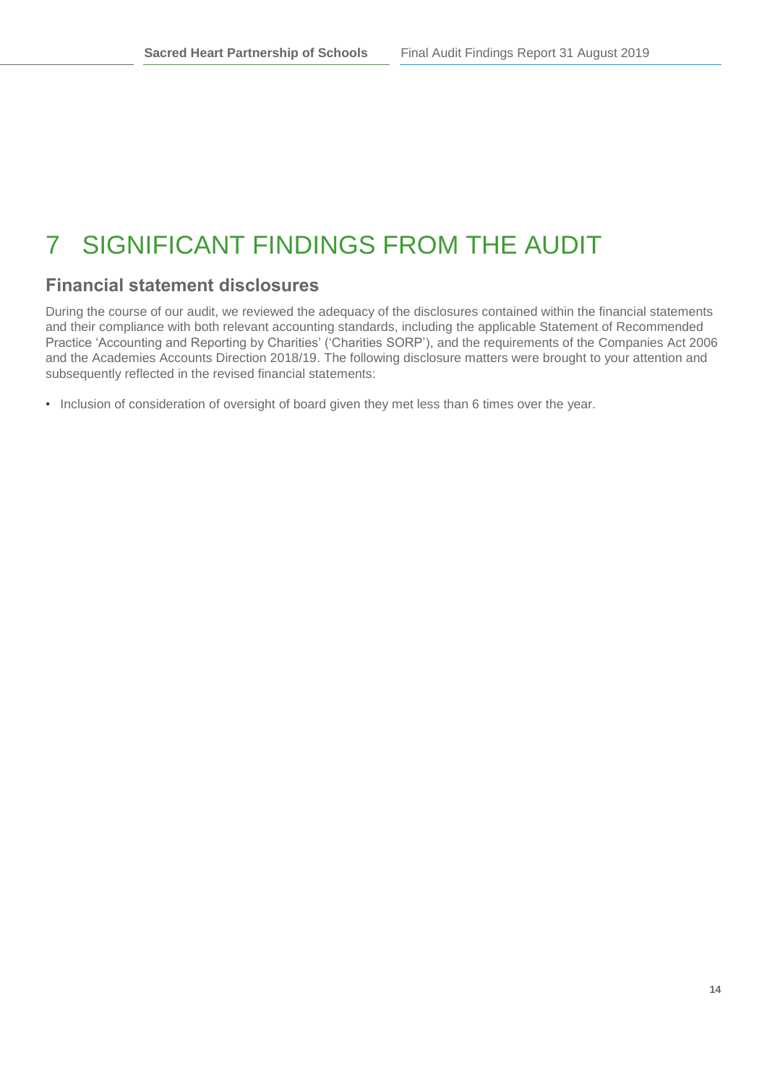# <span id="page-14-0"></span>7 SIGNIFICANT FINDINGS FROM THE AUDIT

#### **Financial statement disclosures**

During the course of our audit, we reviewed the adequacy of the disclosures contained within the financial statements and their compliance with both relevant accounting standards, including the applicable Statement of Recommended Practice 'Accounting and Reporting by Charities' ('Charities SORP'), and the requirements of the Companies Act 2006 and the Academies Accounts Direction 2018/19. The following disclosure matters were brought to your attention and subsequently reflected in the revised financial statements:

• Inclusion of consideration of oversight of board given they met less than 6 times over the year.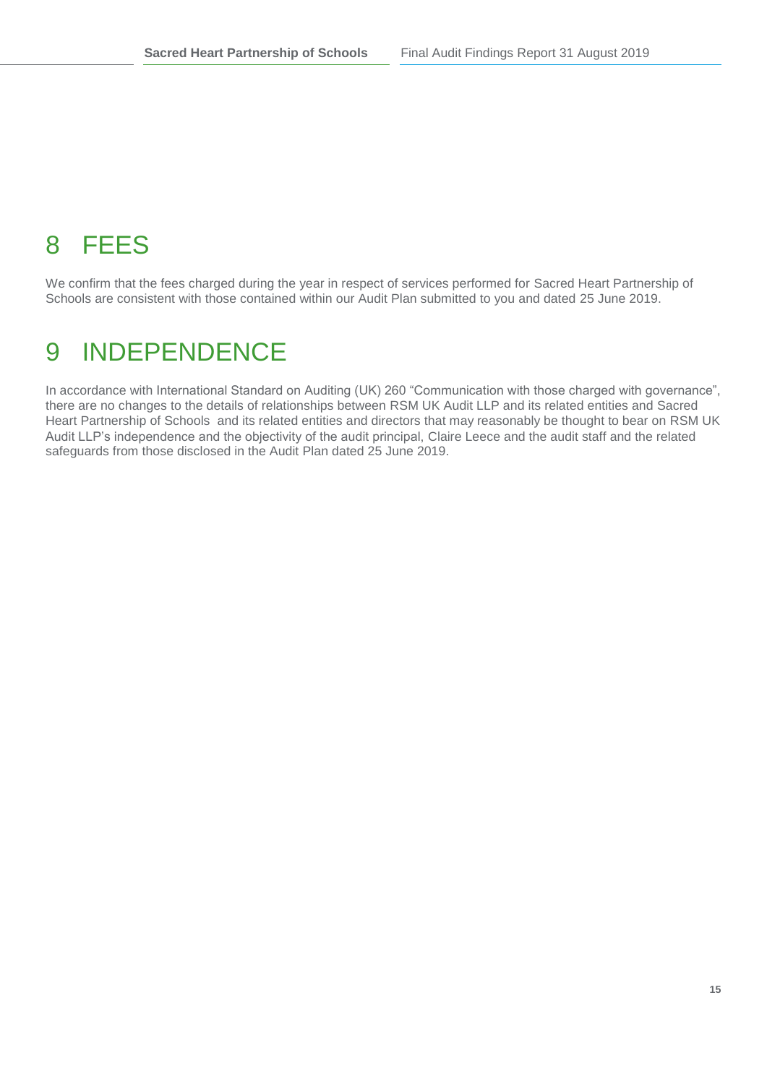# <span id="page-15-0"></span>8 FEES

We confirm that the fees charged during the year in respect of services performed for Sacred Heart Partnership of Schools are consistent with those contained within our Audit Plan submitted to you and dated 25 June 2019.

## <span id="page-15-1"></span>9 INDEPENDENCE

In accordance with International Standard on Auditing (UK) 260 "Communication with those charged with governance", there are no changes to the details of relationships between RSM UK Audit LLP and its related entities and Sacred Heart Partnership of Schools and its related entities and directors that may reasonably be thought to bear on RSM UK Audit LLP's independence and the objectivity of the audit principal, Claire Leece and the audit staff and the related safeguards from those disclosed in the Audit Plan dated 25 June 2019.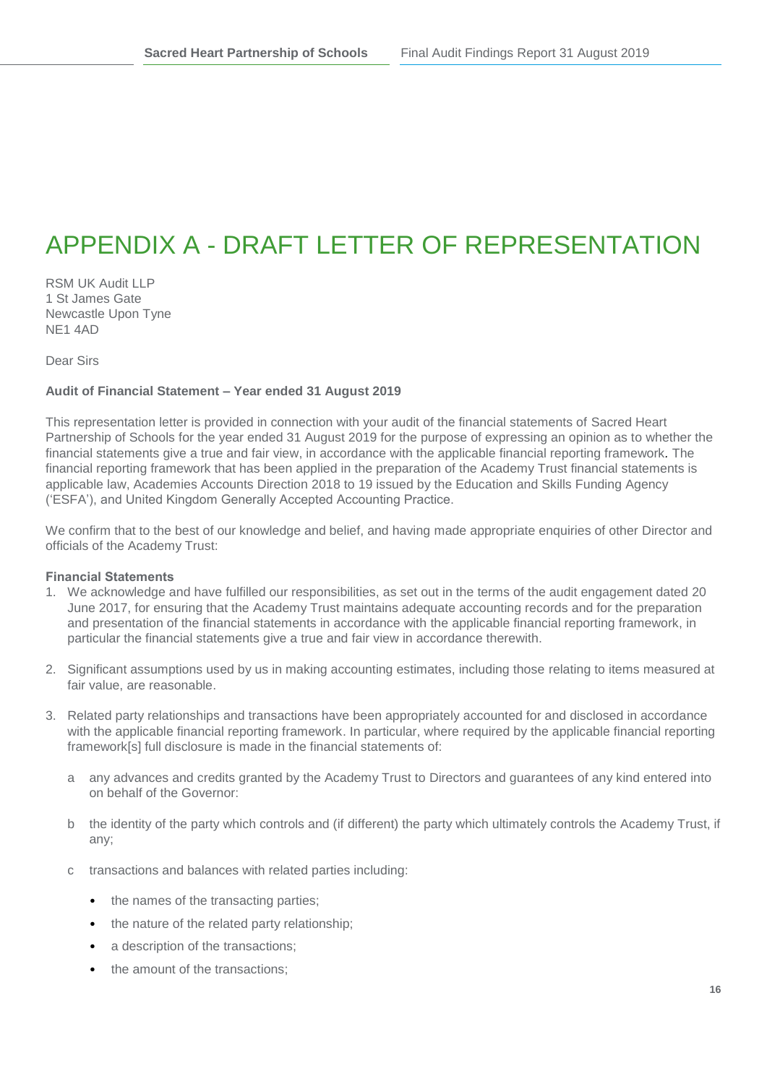# <span id="page-16-0"></span>APPENDIX A - DRAFT LETTER OF REPRESENTATION

RSM UK Audit LLP 1 St James Gate Newcastle Upon Tyne NE1 4AD

Dear Sirs

#### **Audit of Financial Statement – Year ended 31 August 2019**

This representation letter is provided in connection with your audit of the financial statements of Sacred Heart Partnership of Schools for the year ended 31 August 2019 for the purpose of expressing an opinion as to whether the financial statements give a true and fair view, in accordance with the applicable financial reporting framework*.* The financial reporting framework that has been applied in the preparation of the Academy Trust financial statements is applicable law, Academies Accounts Direction 2018 to 19 issued by the Education and Skills Funding Agency ('ESFA'), and United Kingdom Generally Accepted Accounting Practice.

We confirm that to the best of our knowledge and belief, and having made appropriate enquiries of other Director and officials of the Academy Trust:

#### **Financial Statements**

- 1. We acknowledge and have fulfilled our responsibilities, as set out in the terms of the audit engagement dated 20 June 2017, for ensuring that the Academy Trust maintains adequate accounting records and for the preparation and presentation of the financial statements in accordance with the applicable financial reporting framework, in particular the financial statements give a true and fair view in accordance therewith.
- 2. Significant assumptions used by us in making accounting estimates, including those relating to items measured at fair value, are reasonable.
- 3. Related party relationships and transactions have been appropriately accounted for and disclosed in accordance with the applicable financial reporting framework. In particular, where required by the applicable financial reporting framework[s] full disclosure is made in the financial statements of:
	- a any advances and credits granted by the Academy Trust to Directors and guarantees of any kind entered into on behalf of the Governor:
	- b the identity of the party which controls and (if different) the party which ultimately controls the Academy Trust, if any;
	- c transactions and balances with related parties including:
		- the names of the transacting parties;
		- the nature of the related party relationship:
		- a description of the transactions;
		- the amount of the transactions: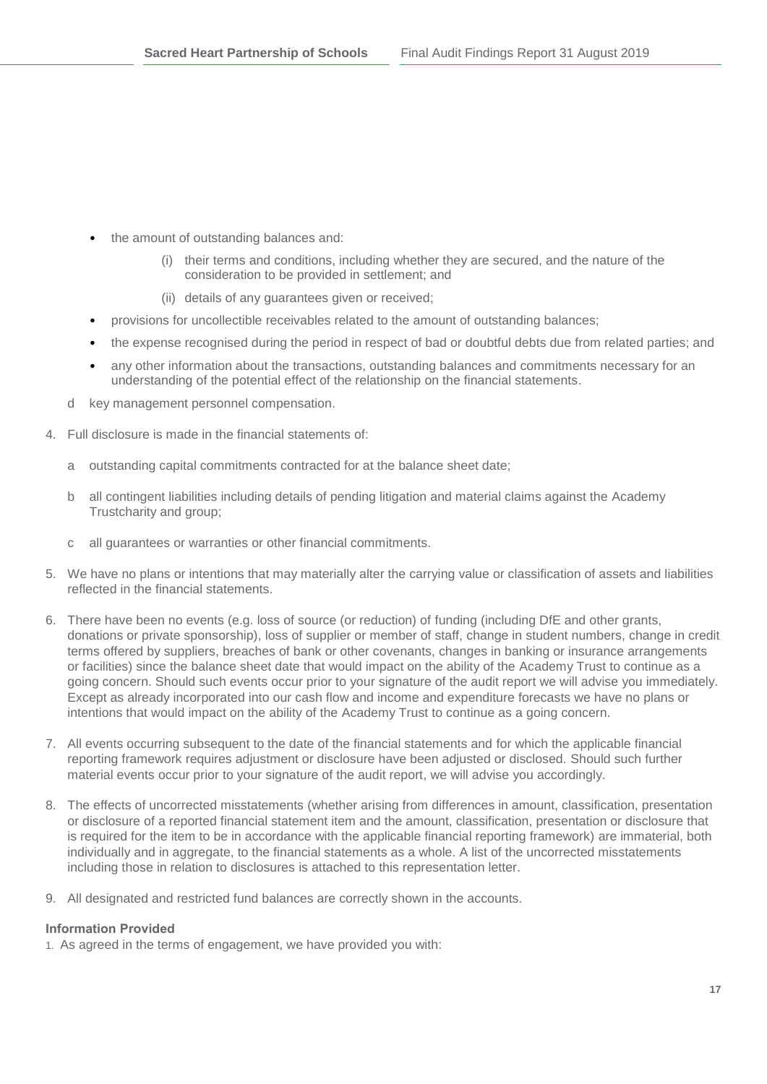- the amount of outstanding balances and:
	- (i) their terms and conditions, including whether they are secured, and the nature of the consideration to be provided in settlement; and
	- (ii) details of any guarantees given or received;
- provisions for uncollectible receivables related to the amount of outstanding balances;
- the expense recognised during the period in respect of bad or doubtful debts due from related parties; and
- any other information about the transactions, outstanding balances and commitments necessary for an understanding of the potential effect of the relationship on the financial statements.
- d key management personnel compensation.
- 4. Full disclosure is made in the financial statements of:
	- a outstanding capital commitments contracted for at the balance sheet date;
	- b all contingent liabilities including details of pending litigation and material claims against the Academy Trustcharity and group;
	- c all guarantees or warranties or other financial commitments.
- 5. We have no plans or intentions that may materially alter the carrying value or classification of assets and liabilities reflected in the financial statements.
- 6. There have been no events (e.g. loss of source (or reduction) of funding (including DfE and other grants, donations or private sponsorship), loss of supplier or member of staff, change in student numbers, change in credit terms offered by suppliers, breaches of bank or other covenants, changes in banking or insurance arrangements or facilities) since the balance sheet date that would impact on the ability of the Academy Trust to continue as a going concern. Should such events occur prior to your signature of the audit report we will advise you immediately. Except as already incorporated into our cash flow and income and expenditure forecasts we have no plans or intentions that would impact on the ability of the Academy Trust to continue as a going concern.
- 7. All events occurring subsequent to the date of the financial statements and for which the applicable financial reporting framework requires adjustment or disclosure have been adjusted or disclosed. Should such further material events occur prior to your signature of the audit report, we will advise you accordingly.
- 8. The effects of uncorrected misstatements (whether arising from differences in amount, classification, presentation or disclosure of a reported financial statement item and the amount, classification, presentation or disclosure that is required for the item to be in accordance with the applicable financial reporting framework) are immaterial, both individually and in aggregate, to the financial statements as a whole. A list of the uncorrected misstatements including those in relation to disclosures is attached to this representation letter.
- 9. All designated and restricted fund balances are correctly shown in the accounts.

#### **Information Provided**

1. As agreed in the terms of engagement, we have provided you with: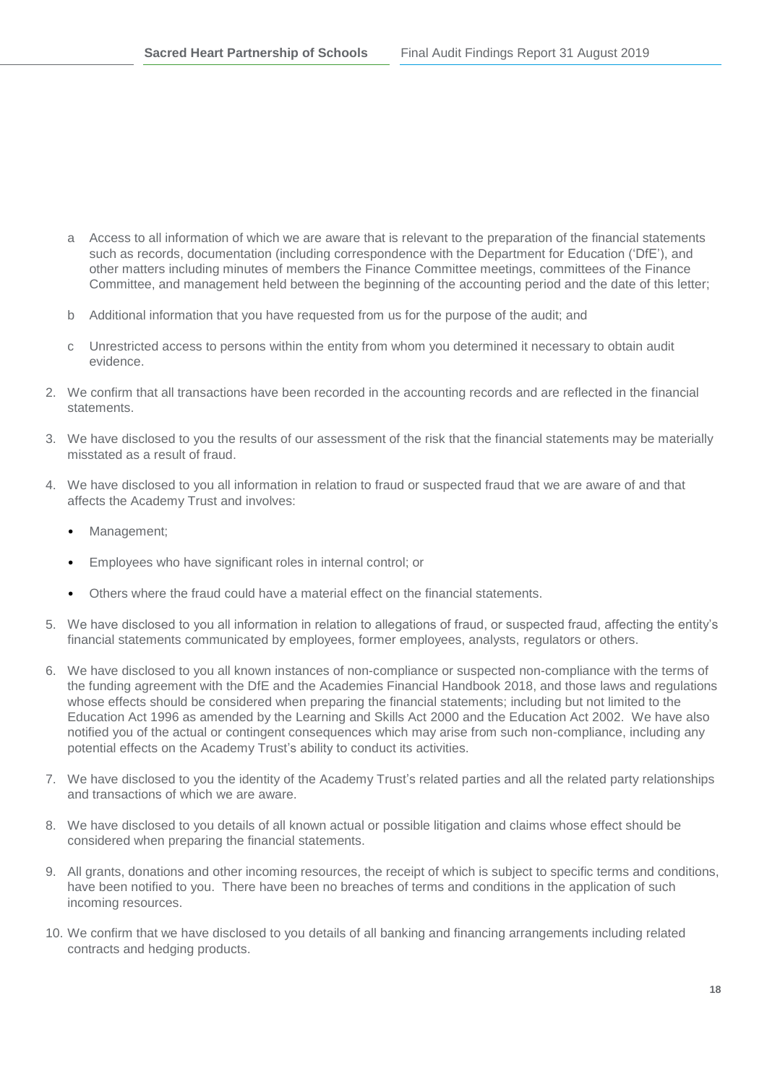- Access to all information of which we are aware that is relevant to the preparation of the financial statements such as records, documentation (including correspondence with the Department for Education ('DfE'), and other matters including minutes of members the Finance Committee meetings, committees of the Finance Committee, and management held between the beginning of the accounting period and the date of this letter;
- b Additional information that you have requested from us for the purpose of the audit; and
- c Unrestricted access to persons within the entity from whom you determined it necessary to obtain audit evidence.
- 2. We confirm that all transactions have been recorded in the accounting records and are reflected in the financial statements.
- 3. We have disclosed to you the results of our assessment of the risk that the financial statements may be materially misstated as a result of fraud.
- 4. We have disclosed to you all information in relation to fraud or suspected fraud that we are aware of and that affects the Academy Trust and involves:
	- Management:
	- Employees who have significant roles in internal control; or
	- Others where the fraud could have a material effect on the financial statements.
- 5. We have disclosed to you all information in relation to allegations of fraud, or suspected fraud, affecting the entity's financial statements communicated by employees, former employees, analysts, regulators or others.
- 6. We have disclosed to you all known instances of non-compliance or suspected non-compliance with the terms of the funding agreement with the DfE and the Academies Financial Handbook 2018, and those laws and regulations whose effects should be considered when preparing the financial statements; including but not limited to the Education Act 1996 as amended by the Learning and Skills Act 2000 and the Education Act 2002. We have also notified you of the actual or contingent consequences which may arise from such non-compliance, including any potential effects on the Academy Trust's ability to conduct its activities.
- 7. We have disclosed to you the identity of the Academy Trust's related parties and all the related party relationships and transactions of which we are aware.
- 8. We have disclosed to you details of all known actual or possible litigation and claims whose effect should be considered when preparing the financial statements.
- 9. All grants, donations and other incoming resources, the receipt of which is subject to specific terms and conditions, have been notified to you. There have been no breaches of terms and conditions in the application of such incoming resources.
- 10. We confirm that we have disclosed to you details of all banking and financing arrangements including related contracts and hedging products.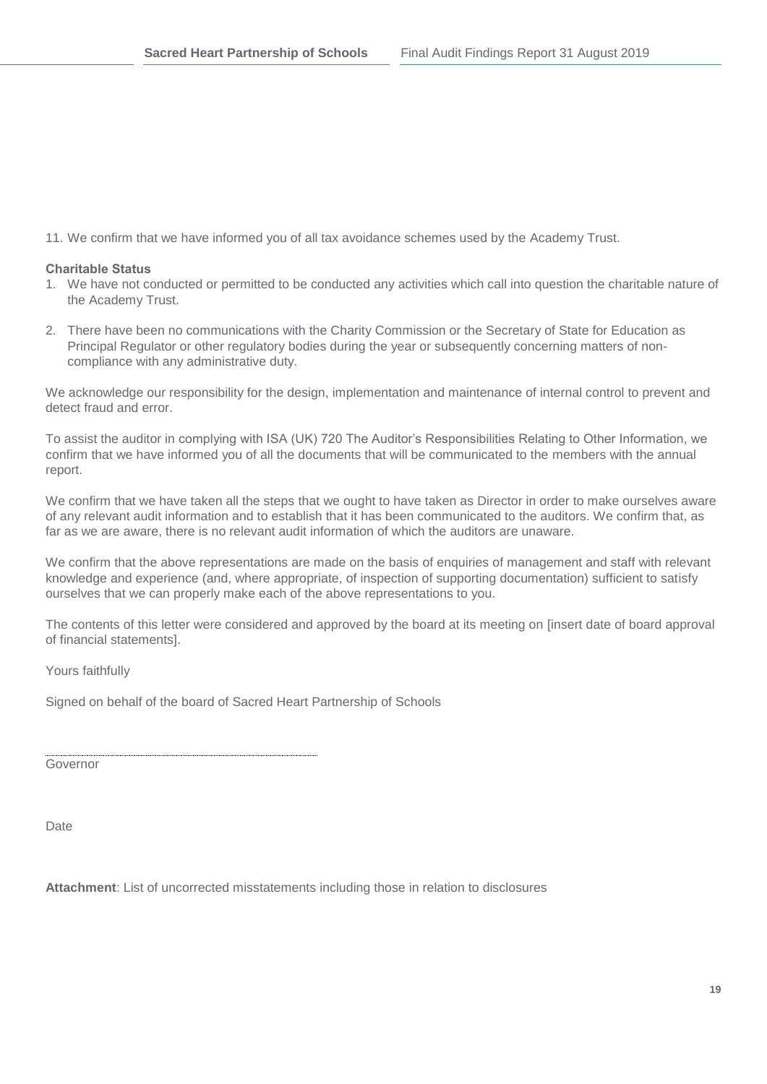11. We confirm that we have informed you of all tax avoidance schemes used by the Academy Trust.

#### **Charitable Status**

- 1. We have not conducted or permitted to be conducted any activities which call into question the charitable nature of the Academy Trust.
- 2. There have been no communications with the Charity Commission or the Secretary of State for Education as Principal Regulator or other regulatory bodies during the year or subsequently concerning matters of noncompliance with any administrative duty.

We acknowledge our responsibility for the design, implementation and maintenance of internal control to prevent and detect fraud and error.

To assist the auditor in complying with ISA (UK) 720 The Auditor's Responsibilities Relating to Other Information, we confirm that we have informed you of all the documents that will be communicated to the members with the annual report.

We confirm that we have taken all the steps that we ought to have taken as Director in order to make ourselves aware of any relevant audit information and to establish that it has been communicated to the auditors. We confirm that, as far as we are aware, there is no relevant audit information of which the auditors are unaware.

We confirm that the above representations are made on the basis of enquiries of management and staff with relevant knowledge and experience (and, where appropriate, of inspection of supporting documentation) sufficient to satisfy ourselves that we can properly make each of the above representations to you.

The contents of this letter were considered and approved by the board at its meeting on [insert date of board approval of financial statements].

Yours faithfully

Signed on behalf of the board of Sacred Heart Partnership of Schools

Governor

Date

**Attachment**: List of uncorrected misstatements including those in relation to disclosures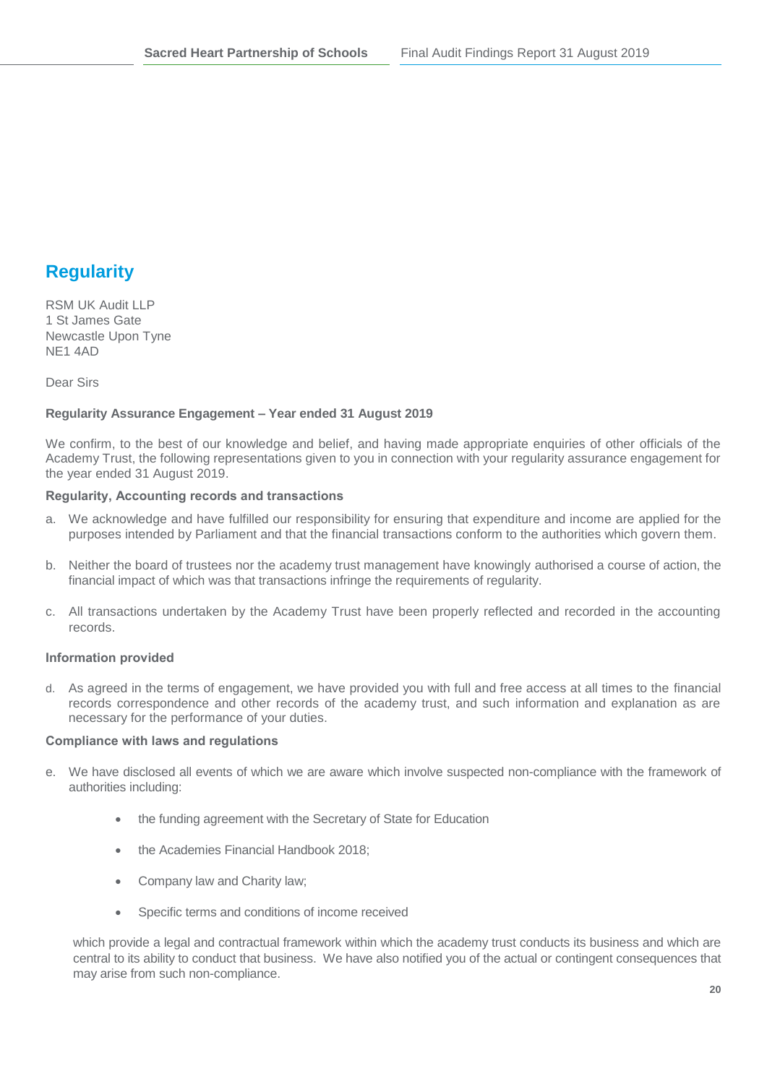### **Regularity**

RSM UK Audit LLP 1 St James Gate Newcastle Upon Tyne NE1 4AD

Dear Sirs

#### **Regularity Assurance Engagement – Year ended 31 August 2019**

We confirm, to the best of our knowledge and belief, and having made appropriate enquiries of other officials of the Academy Trust, the following representations given to you in connection with your regularity assurance engagement for the year ended 31 August 2019.

#### **Regularity, Accounting records and transactions**

- a. We acknowledge and have fulfilled our responsibility for ensuring that expenditure and income are applied for the purposes intended by Parliament and that the financial transactions conform to the authorities which govern them.
- b. Neither the board of trustees nor the academy trust management have knowingly authorised a course of action, the financial impact of which was that transactions infringe the requirements of regularity.
- c. All transactions undertaken by the Academy Trust have been properly reflected and recorded in the accounting records.

#### **Information provided**

d. As agreed in the terms of engagement, we have provided you with full and free access at all times to the financial records correspondence and other records of the academy trust, and such information and explanation as are necessary for the performance of your duties.

#### **Compliance with laws and regulations**

- e. We have disclosed all events of which we are aware which involve suspected non-compliance with the framework of authorities including:
	- the funding agreement with the Secretary of State for Education
	- the Academies Financial Handbook 2018;
	- Company law and Charity law:
	- Specific terms and conditions of income received

which provide a legal and contractual framework within which the academy trust conducts its business and which are central to its ability to conduct that business. We have also notified you of the actual or contingent consequences that may arise from such non-compliance.